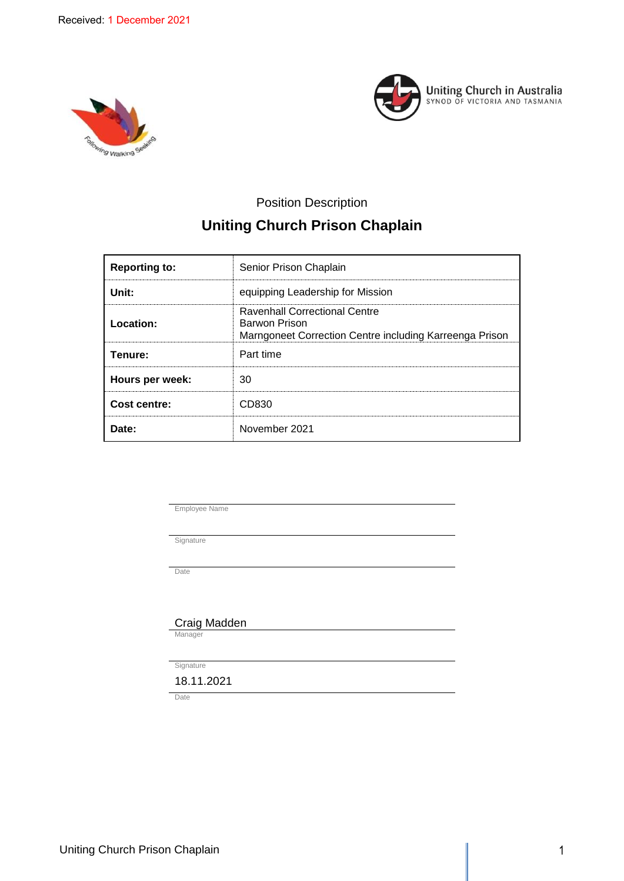



## Position Description

# **Uniting Church Prison Chaplain**

| <b>Reporting to:</b> | Senior Prison Chaplain                                                                                           |
|----------------------|------------------------------------------------------------------------------------------------------------------|
| Unit:                | equipping Leadership for Mission                                                                                 |
| Location:            | <b>Ravenhall Correctional Centre</b><br>Barwon Prison<br>Marngoneet Correction Centre including Karreenga Prison |
| Tenure:              | Part time                                                                                                        |
| Hours per week:      | 30                                                                                                               |
| Cost centre:         | CD830                                                                                                            |
| Date:                | November 2021                                                                                                    |

Employee Name

Signature

Date

Craig Madden

Manager

Signature

18.11.2021

**Date**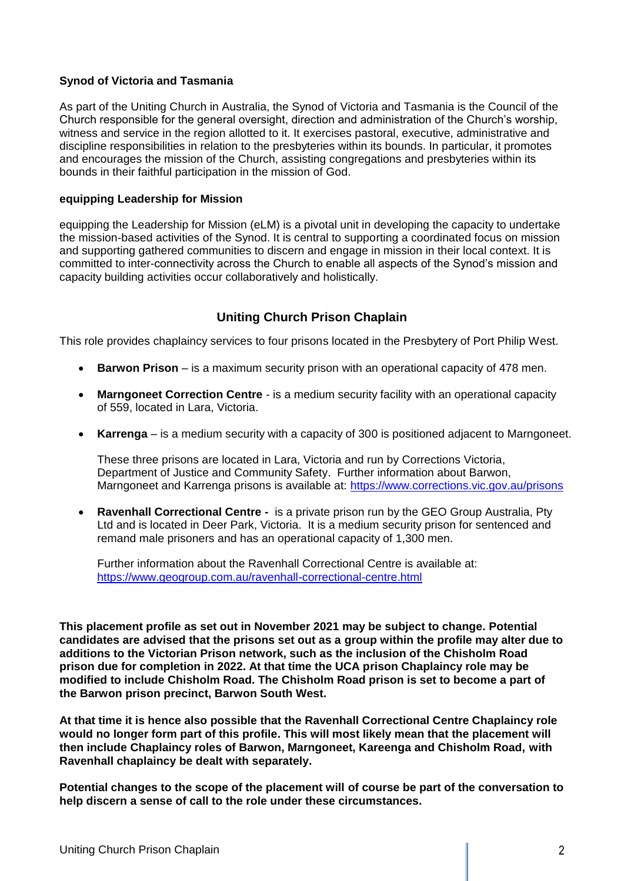## **Synod of Victoria and Tasmania**

As part of the Uniting Church in Australia, the Synod of Victoria and Tasmania is the Council of the Church responsible for the general oversight, direction and administration of the Church's worship, witness and service in the region allotted to it. It exercises pastoral, executive, administrative and discipline responsibilities in relation to the presbyteries within its bounds. In particular, it promotes and encourages the mission of the Church, assisting congregations and presbyteries within its bounds in their faithful participation in the mission of God.

## **equipping Leadership for Mission**

equipping the Leadership for Mission (eLM) is a pivotal unit in developing the capacity to undertake the mission-based activities of the Synod. It is central to supporting a coordinated focus on mission and supporting gathered communities to discern and engage in mission in their local context. It is committed to inter-connectivity across the Church to enable all aspects of the Synod's mission and capacity building activities occur collaboratively and holistically.

## **Uniting Church Prison Chaplain**

This role provides chaplaincy services to four prisons located in the Presbytery of Port Philip West.

- **Barwon Prison** is a maximum security prison with an operational capacity of 478 men.
- **Marngoneet Correction Centre** is a medium security facility with an operational capacity of 559, located in Lara, Victoria.
- **Karrenga** is a medium security with a capacity of 300 is positioned adjacent to Marngoneet.

These three prisons are located in Lara, Victoria and run by Corrections Victoria, Department of Justice and Community Safety. Further information about Barwon, Marngoneet and Karrenga prisons is available at: <https://www.corrections.vic.gov.au/prisons>

 **Ravenhall Correctional Centre -** is a private prison run by the GEO Group Australia, Pty Ltd and is located in Deer Park, Victoria. It is a medium security prison for sentenced and remand male prisoners and has an operational capacity of 1,300 men.

Further information about the Ravenhall Correctional Centre is available at: <https://www.geogroup.com.au/ravenhall-correctional-centre.html>

**This placement profile as set out in November 2021 may be subject to change. Potential candidates are advised that the prisons set out as a group within the profile may alter due to additions to the Victorian Prison network, such as the inclusion of the Chisholm Road prison due for completion in 2022. At that time the UCA prison Chaplaincy role may be modified to include Chisholm Road. The Chisholm Road prison is set to become a part of the Barwon prison precinct, Barwon South West.** 

**At that time it is hence also possible that the Ravenhall Correctional Centre Chaplaincy role would no longer form part of this profile. This will most likely mean that the placement will then include Chaplaincy roles of Barwon, Marngoneet, Kareenga and Chisholm Road, with Ravenhall chaplaincy be dealt with separately.** 

**Potential changes to the scope of the placement will of course be part of the conversation to help discern a sense of call to the role under these circumstances.**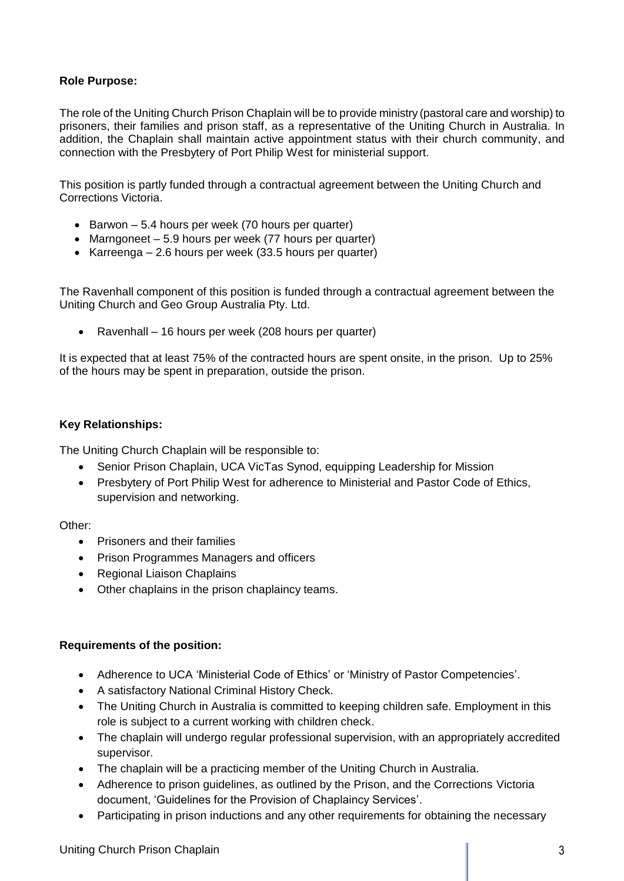## **Role Purpose:**

The role of the Uniting Church Prison Chaplain will be to provide ministry (pastoral care and worship) to prisoners, their families and prison staff, as a representative of the Uniting Church in Australia. In addition, the Chaplain shall maintain active appointment status with their church community, and connection with the Presbytery of Port Philip West for ministerial support.

This position is partly funded through a contractual agreement between the Uniting Church and Corrections Victoria.

- $\bullet$  Barwon 5.4 hours per week (70 hours per quarter)
- Marngoneet 5.9 hours per week (77 hours per quarter)
- Karreenga 2.6 hours per week  $(33.5$  hours per quarter)

The Ravenhall component of this position is funded through a contractual agreement between the Uniting Church and Geo Group Australia Pty. Ltd.

• Ravenhall – 16 hours per week (208 hours per quarter)

It is expected that at least 75% of the contracted hours are spent onsite, in the prison. Up to 25% of the hours may be spent in preparation, outside the prison.

## **Key Relationships:**

The Uniting Church Chaplain will be responsible to:

- Senior Prison Chaplain, UCA VicTas Synod, equipping Leadership for Mission
- Presbytery of Port Philip West for adherence to Ministerial and Pastor Code of Ethics, supervision and networking.

## Other:

- Prisoners and their families
- Prison Programmes Managers and officers
- Regional Liaison Chaplains
- Other chaplains in the prison chaplaincy teams.

#### **Requirements of the position:**

- Adherence to UCA 'Ministerial Code of Ethics' or 'Ministry of Pastor Competencies'.
- A satisfactory National Criminal History Check.
- The Uniting Church in Australia is committed to keeping children safe. Employment in this role is subject to a current working with children check.
- The chaplain will undergo regular professional supervision, with an appropriately accredited supervisor.
- The chaplain will be a practicing member of the Uniting Church in Australia.
- Adherence to prison guidelines, as outlined by the Prison, and the Corrections Victoria document, 'Guidelines for the Provision of Chaplaincy Services'.
- Participating in prison inductions and any other requirements for obtaining the necessary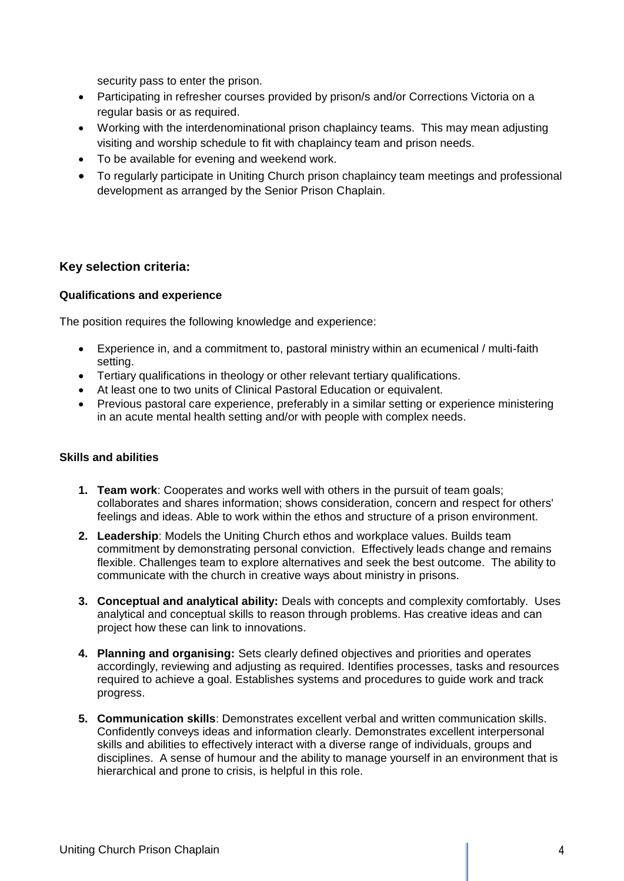security pass to enter the prison.

- Participating in refresher courses provided by prison/s and/or Corrections Victoria on a regular basis or as required.
- Working with the interdenominational prison chaplaincy teams. This may mean adjusting visiting and worship schedule to fit with chaplaincy team and prison needs.
- To be available for evening and weekend work.
- To regularly participate in Uniting Church prison chaplaincy team meetings and professional development as arranged by the Senior Prison Chaplain.

## **Key selection criteria:**

### **Qualifications and experience**

The position requires the following knowledge and experience:

- Experience in, and a commitment to, pastoral ministry within an ecumenical / multi-faith setting.
- Tertiary qualifications in theology or other relevant tertiary qualifications.
- At least one to two units of Clinical Pastoral Education or equivalent.
- Previous pastoral care experience, preferably in a similar setting or experience ministering in an acute mental health setting and/or with people with complex needs.

## **Skills and abilities**

- **1. Team work**: Cooperates and works well with others in the pursuit of team goals; collaborates and shares information; shows consideration, concern and respect for others' feelings and ideas. Able to work within the ethos and structure of a prison environment.
- **2. Leadership**: Models the Uniting Church ethos and workplace values. Builds team commitment by demonstrating personal conviction. Effectively leads change and remains flexible. Challenges team to explore alternatives and seek the best outcome. The ability to communicate with the church in creative ways about ministry in prisons.
- **3. Conceptual and analytical ability:** Deals with concepts and complexity comfortably. Uses analytical and conceptual skills to reason through problems. Has creative ideas and can project how these can link to innovations.
- **4. Planning and organising:** Sets clearly defined objectives and priorities and operates accordingly, reviewing and adjusting as required. Identifies processes, tasks and resources required to achieve a goal. Establishes systems and procedures to guide work and track progress.
- **5. Communication skills**: Demonstrates excellent verbal and written communication skills. Confidently conveys ideas and information clearly. Demonstrates excellent interpersonal skills and abilities to effectively interact with a diverse range of individuals, groups and disciplines. A sense of humour and the ability to manage yourself in an environment that is hierarchical and prone to crisis, is helpful in this role.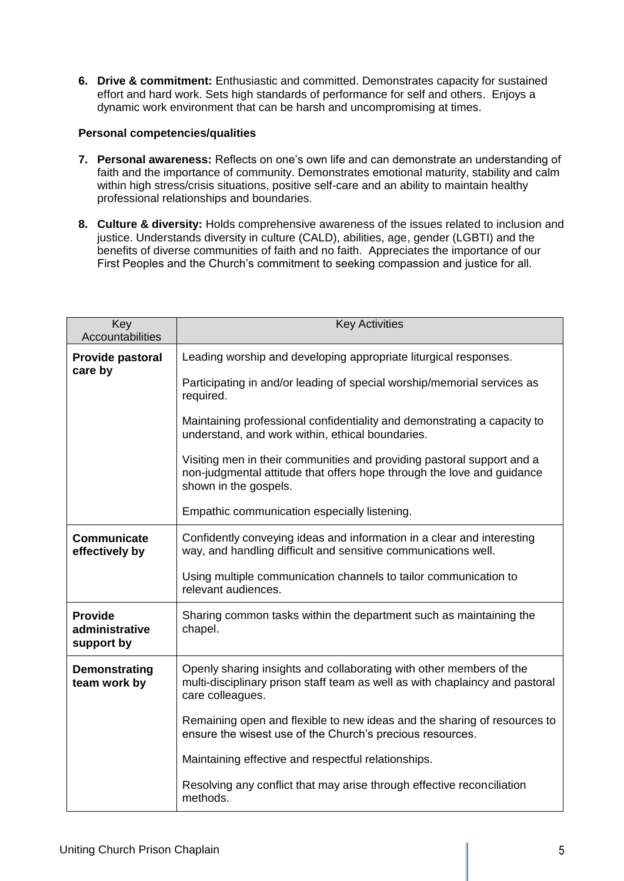**6. Drive & commitment:** Enthusiastic and committed. Demonstrates capacity for sustained effort and hard work. Sets high standards of performance for self and others. Enjoys a dynamic work environment that can be harsh and uncompromising at times.

## **Personal competencies/qualities**

- **7. Personal awareness:** Reflects on one's own life and can demonstrate an understanding of faith and the importance of community. Demonstrates emotional maturity, stability and calm within high stress/crisis situations, positive self-care and an ability to maintain healthy professional relationships and boundaries.
- **8. Culture & diversity:** Holds comprehensive awareness of the issues related to inclusion and justice. Understands diversity in culture (CALD), abilities, age, gender (LGBTI) and the benefits of diverse communities of faith and no faith. Appreciates the importance of our First Peoples and the Church's commitment to seeking compassion and justice for all.

| Key<br>Accountabilities                        | <b>Key Activities</b>                                                                                                                                                     |
|------------------------------------------------|---------------------------------------------------------------------------------------------------------------------------------------------------------------------------|
| Provide pastoral<br>care by                    | Leading worship and developing appropriate liturgical responses.                                                                                                          |
|                                                | Participating in and/or leading of special worship/memorial services as<br>required.                                                                                      |
|                                                | Maintaining professional confidentiality and demonstrating a capacity to<br>understand, and work within, ethical boundaries.                                              |
|                                                | Visiting men in their communities and providing pastoral support and a<br>non-judgmental attitude that offers hope through the love and guidance<br>shown in the gospels. |
|                                                | Empathic communication especially listening.                                                                                                                              |
| <b>Communicate</b><br>effectively by           | Confidently conveying ideas and information in a clear and interesting<br>way, and handling difficult and sensitive communications well.                                  |
|                                                | Using multiple communication channels to tailor communication to<br>relevant audiences.                                                                                   |
| <b>Provide</b><br>administrative<br>support by | Sharing common tasks within the department such as maintaining the<br>chapel.                                                                                             |
| Demonstrating<br>team work by                  | Openly sharing insights and collaborating with other members of the<br>multi-disciplinary prison staff team as well as with chaplaincy and pastoral<br>care colleagues.   |
|                                                | Remaining open and flexible to new ideas and the sharing of resources to<br>ensure the wisest use of the Church's precious resources.                                     |
|                                                | Maintaining effective and respectful relationships.                                                                                                                       |
|                                                | Resolving any conflict that may arise through effective reconciliation<br>methods.                                                                                        |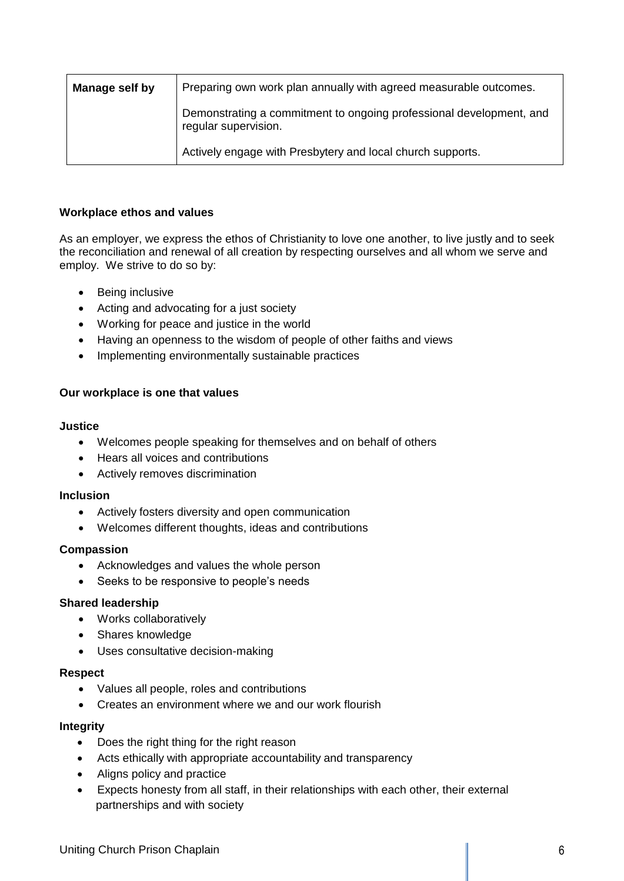| Manage self by | Preparing own work plan annually with agreed measurable outcomes.                           |
|----------------|---------------------------------------------------------------------------------------------|
|                | Demonstrating a commitment to ongoing professional development, and<br>regular supervision. |
|                | Actively engage with Presbytery and local church supports.                                  |

## **Workplace ethos and values**

As an employer, we express the ethos of Christianity to love one another, to live justly and to seek the reconciliation and renewal of all creation by respecting ourselves and all whom we serve and employ. We strive to do so by:

- Being inclusive
- Acting and advocating for a just society
- Working for peace and justice in the world
- Having an openness to the wisdom of people of other faiths and views
- Implementing environmentally sustainable practices

#### **Our workplace is one that values**

#### **Justice**

- Welcomes people speaking for themselves and on behalf of others
- Hears all voices and contributions
- Actively removes discrimination

#### **Inclusion**

- Actively fosters diversity and open communication
- Welcomes different thoughts, ideas and contributions

#### **Compassion**

- Acknowledges and values the whole person
- Seeks to be responsive to people's needs

#### **Shared leadership**

- Works collaboratively
- Shares knowledge
- Uses consultative decision-making

#### **Respect**

- Values all people, roles and contributions
- Creates an environment where we and our work flourish

#### **Integrity**

- Does the right thing for the right reason
- Acts ethically with appropriate accountability and transparency
- Aligns policy and practice
- Expects honesty from all staff, in their relationships with each other, their external partnerships and with society